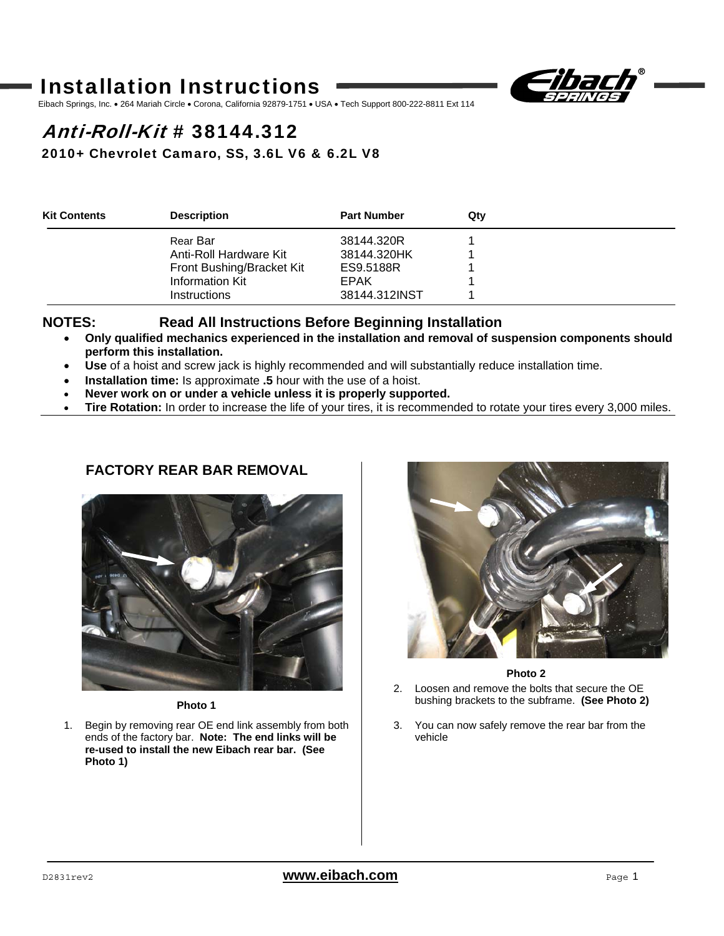# Installation Instructions



Eibach Springs, Inc. . 264 Mariah Circle . Corona, California 92879-1751 . USA . Tech Support 800-222-8811 Ext 114

# Anti-Roll-Kit # 38144.312

2010+ Chevrolet Camaro, SS, 3.6L V6 & 6.2L V8

| <b>Kit Contents</b> | <b>Description</b>        | <b>Part Number</b> | Qtv |  |
|---------------------|---------------------------|--------------------|-----|--|
|                     | Rear Bar                  | 38144.320R         |     |  |
|                     | Anti-Roll Hardware Kit    | 38144.320HK        |     |  |
|                     | Front Bushing/Bracket Kit | ES9.5188R          |     |  |
|                     | <b>Information Kit</b>    | EPAK               |     |  |
|                     | <b>Instructions</b>       | 38144.312INST      |     |  |

#### **NOTES: Read All Instructions Before Beginning Installation**

- **Only qualified mechanics experienced in the installation and removal of suspension components should perform this installation.**
- **Use** of a hoist and screw jack is highly recommended and will substantially reduce installation time.
- **Installation time:** Is approximate **.5** hour with the use of a hoist.
- **Never work on or under a vehicle unless it is properly supported.**
- **Tire Rotation:** In order to increase the life of your tires, it is recommended to rotate your tires every 3,000 miles.

## **FACTORY REAR BAR REMOVAL**



**Photo 1** 

1. Begin by removing rear OE end link assembly from both ends of the factory bar. **Note: The end links will be re-used to install the new Eibach rear bar. (See Photo 1)**



**Photo 2** 

- 2. Loosen and remove the bolts that secure the OE bushing brackets to the subframe. **(See Photo 2)**
- 3. You can now safely remove the rear bar from the vehicle